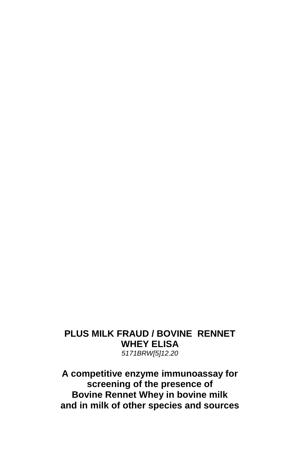## **PLUS MILK FRAUD / BOVINE RENNET WHEY ELISA** *5171BRW[5]12.20*

**A competitive enzyme immunoassay for screening of the presence of Bovine Rennet Whey in bovine milk and in milk of other species and sources**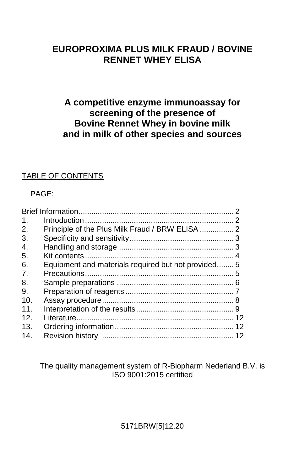# **EUROPROXIMA PLUS MILK FRAUD / BOVINE RENNET WHEY ELISA**

# **A competitive enzyme immunoassay for screening of the presence of Bovine Rennet Whey in bovine milk and in milk of other species and sources**

## TABLE OF CONTENTS

## PAGE:

| $\mathbf 1$ .  |                                                    |  |
|----------------|----------------------------------------------------|--|
| 2.             | Principle of the Plus Milk Fraud / BRW ELISA  2    |  |
| 3.             |                                                    |  |
| 4.             |                                                    |  |
| 5.             |                                                    |  |
| 6.             | Equipment and materials required but not provided5 |  |
| 7 <sub>1</sub> |                                                    |  |
| 8.             |                                                    |  |
| 9.             |                                                    |  |
| 10.            |                                                    |  |
| 11             |                                                    |  |
| 12.            |                                                    |  |
| 13.            |                                                    |  |
| 14.            |                                                    |  |
|                |                                                    |  |

The quality management system of R-Biopharm Nederland B.V. is ISO 9001:2015 certified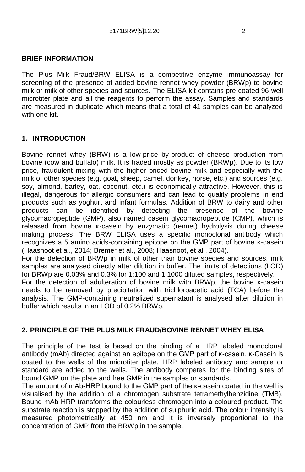#### **BRIEF INFORMATION**

The Plus Milk Fraud/BRW ELISA is a competitive enzyme immunoassay for screening of the presence of added bovine rennet whey powder (BRWp) to bovine milk or milk of other species and sources. The ELISA kit contains pre-coated 96-well microtiter plate and all the reagents to perform the assay. Samples and standards are measured in duplicate which means that a total of 41 samples can be analyzed with one kit.

#### **1. INTRODUCTION**

Bovine rennet whey (BRW) is a low-price by-product of cheese production from bovine (cow and buffalo) milk. It is traded mostly as powder (BRWp). Due to its low price, fraudulent mixing with the higher priced bovine milk and especially with the milk of other species (e.g. goat, sheep, camel, donkey, horse, etc.) and sources (e.g. soy, almond, barley, oat, coconut, etc.) is economically attractive. However, this is illegal, dangerous for allergic consumers and can lead to quality problems in end products such as yoghurt and infant formulas. Addition of BRW to dairy and other products can be identified by detecting the presence of the bovine glycomacropeptide (GMP), also named casein glycomacropeptide (CMP), which is released from bovine κ-casein by enzymatic (rennet) hydrolysis during cheese making process. The BRW ELISA uses a specific monoclonal antibody which recognizes a 5 amino acids-containing epitope on the GMP part of bovine κ-casein (Haasnoot et al., 2014; Bremer et al., 2008; Haasnoot, et al., 2004).

For the detection of BRWp in milk of other than bovine species and sources, milk samples are analysed directly after dilution in buffer. The limits of detections (LOD) for BRWp are 0.03% and 0.3% for 1:100 and 1:1000 diluted samples, respectively.

For the detection of adulteration of bovine milk with BRWp, the bovine κ-casein needs to be removed by precipitation with trichloroacetic acid (TCA) before the analysis. The GMP-containing neutralized supernatant is analysed after dilution in buffer which results in an LOD of 0.2% BRWp.

#### **2. PRINCIPLE OF THE PLUS MILK FRAUD/BOVINE RENNET WHEY ELISA**

The principle of the test is based on the binding of a HRP labeled monoclonal antibody (mAb) directed against an epitope on the GMP part of κ-casein. κ-Casein is coated to the wells of the microtiter plate, HRP labeled antibody and sample or standard are added to the wells. The antibody competes for the binding sites of bound GMP on the plate and free GMP in the samples or standards.

The amount of mAb-HRP bound to the GMP part of the κ-casein coated in the well is visualised by the addition of a chromogen substrate tetramethylbenzidine (TMB). Bound mAb-HRP transforms the colourless chromogen into a coloured product. The substrate reaction is stopped by the addition of sulphuric acid. The colour intensity is measured photometrically at 450 nm and it is inversely proportional to the concentration of GMP from the BRWp in the sample.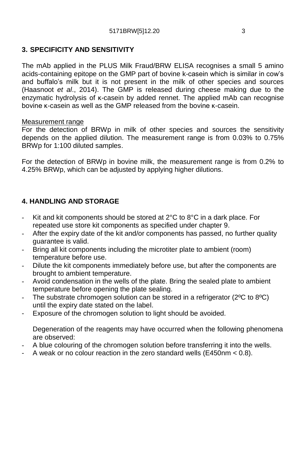## **3. SPECIFICITY AND SENSITIVITY**

The mAb applied in the PLUS Milk Fraud/BRW ELISA recognises a small 5 amino acids-containing epitope on the GMP part of bovine k-casein which is similar in cow's and buffalo's milk but it is not present in the milk of other species and sources (Haasnoot *et al*., 2014). The GMP is released during cheese making due to the enzymatic hydrolysis of κ-casein by added rennet. The applied mAb can recognise bovine κ-casein as well as the GMP released from the bovine κ-casein.

#### Measurement range

For the detection of BRWp in milk of other species and sources the sensitivity depends on the applied dilution. The measurement range is from 0.03% to 0.75% BRWp for 1:100 diluted samples.

For the detection of BRWp in bovine milk, the measurement range is from 0.2% to 4.25% BRWp, which can be adjusted by applying higher dilutions.

## **4. HANDLING AND STORAGE**

- Kit and kit components should be stored at  $2^{\circ}$ C to  $8^{\circ}$ C in a dark place. For repeated use store kit components as specified under chapter 9.
- After the expiry date of the kit and/or components has passed, no further quality guarantee is valid.
- Bring all kit components including the microtiter plate to ambient (room) temperature before use.
- Dilute the kit components immediately before use, but after the components are brought to ambient temperature.
- Avoid condensation in the wells of the plate. Bring the sealed plate to ambient temperature before opening the plate sealing.
- The substrate chromogen solution can be stored in a refrigerator (2°C to 8°C) until the expiry date stated on the label.
- Exposure of the chromogen solution to light should be avoided.

Degeneration of the reagents may have occurred when the following phenomena are observed:

- A blue colouring of the chromogen solution before transferring it into the wells.
- A weak or no colour reaction in the zero standard wells (E450nm < 0.8).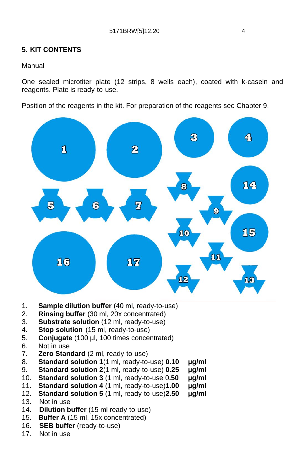## **5. KIT CONTENTS**

#### Manual

One sealed microtiter plate (12 strips, 8 wells each), coated with k-casein and reagents. Plate is ready-to-use.

Position of the reagents in the kit. For preparation of the reagents see Chapter 9.



- 1. **Sample dilution buffer** (40 ml, ready-to-use)
- 2. **Rinsing buffer** (30 ml, 20x concentrated)
- 3. **Substrate solution** (12 ml, ready-to-use)
- 4. **Stop solution** (15 ml, ready-to-use)
- 5. **Conjugate** (100 µl, 100 times concentrated)
- 6. Not in use
- 7. **Zero Standard** (2 ml, ready-to-use)
- 8. **Standard solution 1**(1 ml, ready-to-use) **0.10 µg/ml**
- 9. **Standard solution 2**(1 ml, ready-to-use) **0.25 µg/ml**
- 10. **Standard solution 3** (1 ml, ready-to-use 0**.50 µg/ml**
- 11. **Standard solution 4** (1 ml, ready-to-use)**1.00 µg/ml**
- 12. **Standard solution 5** (1 ml, ready-to-use)**2.50 µg/ml**
- 13. Not in use<br>14. **Dilution b**
- **Dilution buffer** (15 ml ready-to-use)
- 15. **Buffer A** (15 ml, 15x concentrated)
- 16. **SEB buffer** (ready-to-use)
- 17. Not in use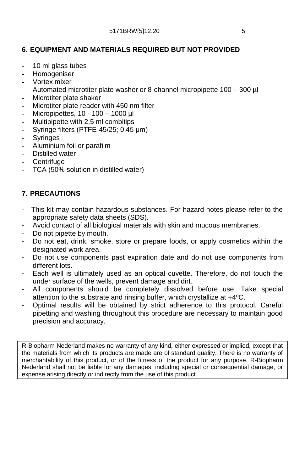## **6. EQUIPMENT AND MATERIALS REQUIRED BUT NOT PROVIDED**

- 10 ml glass tubes
- Homogeniser
- Vortex mixer
- Automated microtiter plate washer or 8-channel micropipette 100 300 ul
- Microtiter plate shaker
- Microtiter plate reader with 450 nm filter
- Micropipettes, 10 100 1000 µl
- Multipipette with 2.5 ml combitips
- Syringe filters (PTFE-45/25; 0.45 μm)
- **Syringes**
- Aluminium foil or parafilm
- Distilled water
- **Centrifuge**
- TCA (50% solution in distilled water)

## **7. PRECAUTIONS**

- This kit may contain hazardous substances. For hazard notes please refer to the appropriate safety data sheets (SDS).
- Avoid contact of all biological materials with skin and mucous membranes.
- Do not pipette by mouth.
- Do not eat, drink, smoke, store or prepare foods, or apply cosmetics within the designated work area.
- Do not use components past expiration date and do not use components from different lots.
- Each well is ultimately used as an optical cuvette. Therefore, do not touch the under surface of the wells, prevent damage and dirt.
- All components should be completely dissolved before use. Take special attention to the substrate and rinsing buffer, which crystallize at +4ºC.
- Optimal results will be obtained by strict adherence to this protocol. Careful pipetting and washing throughout this procedure are necessary to maintain good precision and accuracy.

R-Biopharm Nederland makes no warranty of any kind, either expressed or implied, except that the materials from which its products are made are of standard quality. There is no warranty of merchantability of this product, or of the fitness of the product for any purpose. R-Biopharm Nederland shall not be liable for any damages, including special or consequential damage, or expense arising directly or indirectly from the use of this product.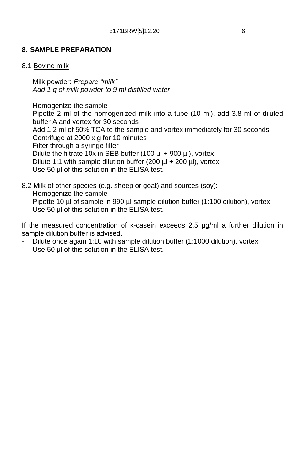## **8. SAMPLE PREPARATION**

#### 8.1 Bovine milk

Milk powder: *Prepare "milk"*

- *- Add 1 g of milk powder to 9 ml distilled water*
- Homogenize the sample
- Pipette 2 ml of the homogenized milk into a tube (10 ml), add 3.8 ml of diluted buffer A and vortex for 30 seconds
- Add 1.2 ml of 50% TCA to the sample and vortex immediately for 30 seconds
- Centrifuge at 2000 x g for 10 minutes
- Filter through a syringe filter
- Dilute the filtrate 10x in SEB buffer (100 µl + 900 µl), vortex
- Dilute 1:1 with sample dilution buffer (200  $\mu$ l + 200  $\mu$ l), vortex
- Use 50 μl of this solution in the ELISA test.

8.2 Milk of other species (e.g. sheep or goat) and sources (soy):

- Homogenize the sample
- Pipette 10 µl of sample in 990 µl sample dilution buffer (1:100 dilution), vortex
- Use 50 μl of this solution in the ELISA test.

If the measured concentration of κ-casein exceeds 2.5 µg/ml a further dilution in sample dilution buffer is advised.

- Dilute once again 1:10 with sample dilution buffer (1:1000 dilution), vortex
- Use 50 μl of this solution in the ELISA test.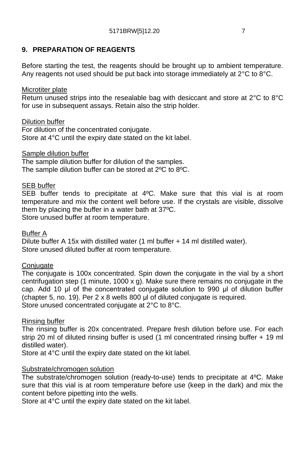## **9. PREPARATION OF REAGENTS**

Before starting the test, the reagents should be brought up to ambient temperature. Any reagents not used should be put back into storage immediately at 2°C to 8°C.

#### Microtiter plate

Return unused strips into the resealable bag with desiccant and store at 2°C to 8°C for use in subsequent assays. Retain also the strip holder.

#### Dilution buffer

For dilution of the concentrated conjugate. Store at 4°C until the expiry date stated on the kit label.

#### Sample dilution buffer

The sample dilution buffer for dilution of the samples. The sample dilution buffer can be stored at 2ºC to 8ºC.

#### SEB buffer

SEB buffer tends to precipitate at 4ºC. Make sure that this vial is at room temperature and mix the content well before use. If the crystals are visible, dissolve them by placing the buffer in a water bath at 37ºC. Store unused buffer at room temperature.

#### Buffer A

Dilute buffer A 15x with distilled water (1 ml buffer + 14 ml distilled water). Store unused diluted buffer at room temperature.

#### Conjugate

The conjugate is 100x concentrated. Spin down the conjugate in the vial by a short centrifugation step (1 minute, 1000 x g). Make sure there remains no conjugate in the cap. Add 10 μl of the concentrated conjugate solution to 990 μl of dilution buffer (chapter 5, no. 19). Per 2 x 8 wells 800 μl of diluted conjugate is required. Store unused concentrated conjugate at 2°C to 8°C.

#### Rinsing buffer

The rinsing buffer is 20x concentrated. Prepare fresh dilution before use. For each strip 20 ml of diluted rinsing buffer is used (1 ml concentrated rinsing buffer + 19 ml distilled water).

Store at 4°C until the expiry date stated on the kit label.

#### Substrate/chromogen solution

The substrate/chromogen solution (ready-to-use) tends to precipitate at 4ºC. Make sure that this vial is at room temperature before use (keep in the dark) and mix the content before pipetting into the wells.

Store at 4°C until the expiry date stated on the kit label.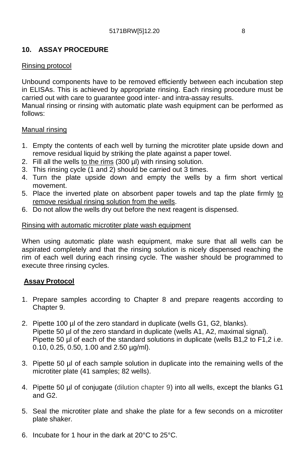## **10. ASSAY PROCEDURE**

### Rinsing protocol

Unbound components have to be removed efficiently between each incubation step in ELISAs. This is achieved by appropriate rinsing. Each rinsing procedure must be carried out with care to guarantee good inter- and intra-assay results.

Manual rinsing or rinsing with automatic plate wash equipment can be performed as follows:

#### Manual rinsing

- 1. Empty the contents of each well by turning the microtiter plate upside down and remove residual liquid by striking the plate against a paper towel.
- 2. Fill all the wells to the rims (300 µl) with rinsing solution.
- 3. This rinsing cycle (1 and 2) should be carried out 3 times.
- 4. Turn the plate upside down and empty the wells by a firm short vertical movement.
- 5. Place the inverted plate on absorbent paper towels and tap the plate firmly to remove residual rinsing solution from the wells.
- 6. Do not allow the wells dry out before the next reagent is dispensed.

#### Rinsing with automatic microtiter plate wash equipment

When using automatic plate wash equipment, make sure that all wells can be aspirated completely and that the rinsing solution is nicely dispensed reaching the rim of each well during each rinsing cycle. The washer should be programmed to execute three rinsing cycles.

#### **Assay Protocol**

- 1. Prepare samples according to Chapter 8 and prepare reagents according to Chapter 9.
- 2. Pipette 100 µl of the zero standard in duplicate (wells G1, G2, blanks). Pipette 50 µl of the zero standard in duplicate (wells A1, A2, maximal signal). Pipette 50 µl of each of the standard solutions in duplicate (wells B1,2 to F1,2 i.e. 0.10, 0.25, 0.50, 1.00 and 2.50 µg/ml).
- 3. Pipette 50 µl of each sample solution in duplicate into the remaining wells of the microtiter plate (41 samples; 82 wells).
- 4. Pipette 50 µl of conjugate (dilution chapter 9) into all wells, except the blanks G1 and G2.
- 5. Seal the microtiter plate and shake the plate for a few seconds on a microtiter plate shaker.
- 6. Incubate for 1 hour in the dark at 20°C to 25°C.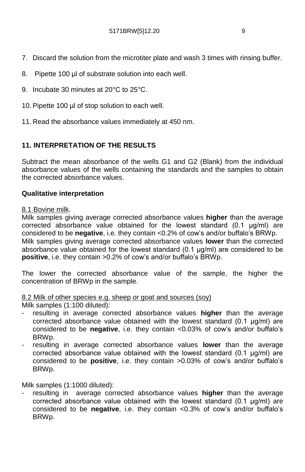- 7. Discard the solution from the microtiter plate and wash 3 times with rinsing buffer.
- 8. Pipette 100 µl of substrate solution into each well.
- 9. Incubate 30 minutes at 20°C to 25°C.
- 10. Pipette 100 µl of stop solution to each well.
- 11. Read the absorbance values immediately at 450 nm.

## **11. INTERPRETATION OF THE RESULTS**

Subtract the mean absorbance of the wells G1 and G2 (Blank) from the individual absorbance values of the wells containing the standards and the samples to obtain the corrected absorbance values.

#### **Qualitative interpretation**

#### 8.1 Bovine milk.

Milk samples giving average corrected absorbance values **higher** than the average corrected absorbance value obtained for the lowest standard (0.1 μg/ml) are considered to be **negative**, i.e. they contain <0.2% of cow's and/or buffalo's BRWp. Milk samples giving average corrected absorbance values **lower** than the corrected absorbance value obtained for the lowest standard (0.1 μg/ml) are considered to be **positive**, i.e. they contain >0.2% of cow's and/or buffalo's BRWp.

The lower the corrected absorbance value of the sample, the higher the concentration of BRWp in the sample.

8.2 Milk of other species e.g. sheep or goat and sources (soy)

Milk samples (1:100 diluted):

- resulting in average corrected absorbance values **higher** than the average corrected absorbance value obtained with the lowest standard (0.1 μg/ml) are considered to be **negative**, i.e. they contain <0.03% of cow's and/or buffalo's BRWp.
- resulting in average corrected absorbance values **lower** than the average corrected absorbance value obtained with the lowest standard (0.1 μg/ml) are considered to be **positive**, i.e. they contain >0.03% of cow's and/or buffalo's BRWp.

Milk samples (1:1000 diluted):

resulting in average corrected absorbance values **higher** than the average corrected absorbance value obtained with the lowest standard (0.1 μg/ml) are considered to be **negative**, i.e. they contain <0.3% of cow's and/or buffalo's BRWp.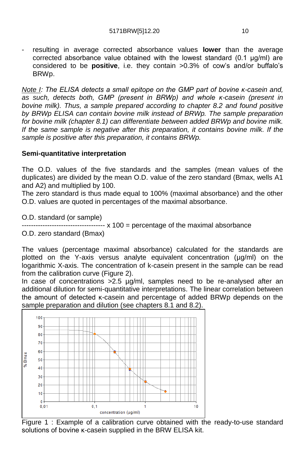resulting in average corrected absorbance values **lower** than the average corrected absorbance value obtained with the lowest standard (0.1 μg/ml) are considered to be **positive**, i.e. they contain >0.3% of cow's and/or buffalo's BRWp.

*Note I: The ELISA detects a small epitope on the GMP part of bovine κ-casein and, as such, detects both, GMP (present in BRWp) and whole κ-casein (present in bovine milk). Thus, a sample prepared according to chapter 8.2 and found positive by BRWp ELISA can contain bovine milk instead of BRWp. The sample preparation for bovine milk (chapter 8.1) can differentiate between added BRWp and bovine milk. If the same sample is negative after this preparation, it contains bovine milk. If the sample is positive after this preparation, it contains BRWp.*

#### **Semi-quantitative interpretation**

The O.D. values of the five standards and the samples (mean values of the duplicates) are divided by the mean O.D. value of the zero standard (Bmax, wells A1 and A2) and multiplied by 100.

The zero standard is thus made equal to 100% (maximal absorbance) and the other O.D. values are quoted in percentages of the maximal absorbance.

O.D. standard (or sample)

------------------------------------ x 100 = percentage of the maximal absorbance

O.D. zero standard (Bmax)

The values (percentage maximal absorbance) calculated for the standards are plotted on the Y-axis versus analyte equivalent concentration (µg/ml) on the logarithmic X-axis. The concentration of k-casein present in the sample can be read from the calibration curve (Figure 2).

In case of concentrations >2.5 µg/ml, samples need to be re-analysed after an additional dilution for semi-quantitative interpretations. The linear correlation between the amount of detected κ-casein and percentage of added BRWp depends on the sample preparation and dilution (see chapters 8.1 and 8.2).



Figure 1 : Example of a calibration curve obtained with the ready-to-use standard solutions of bovine κ-casein supplied in the BRW ELISA kit.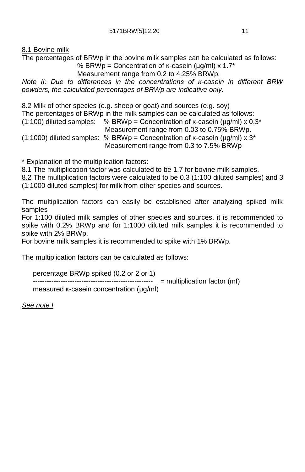8.1 Bovine milk

The percentages of BRWp in the bovine milk samples can be calculated as follows:

% BRWp = Concentration of  $\kappa$ -casein (ug/ml) x 1.7\* Measurement range from 0.2 to 4.25% BRWp.

*Note II: Due to differences in the concentrations of ĸ-casein in different BRW powders, the calculated percentages of BRWp are indicative only.*

#### 8.2 Milk of other species (e.g. sheep or goat) and sources (e.g. soy)

The percentages of BRWp in the milk samples can be calculated as follows: (1:100) diluted samples: % BRWp = Concentration of  $\kappa$ -casein ( $\mu q/ml$ ) x 0.3\* Measurement range from 0.03 to 0.75% BRWp. (1:1000) diluted samples: % BRWp = Concentration of  $\kappa$ -casein ( $\mu$ g/ml) x 3<sup>\*</sup>

Measurement range from 0.3 to 7.5% BRWp

\* Explanation of the multiplication factors:

8.1 The multiplication factor was calculated to be 1.7 for bovine milk samples.

8.2 The multiplication factors were calculated to be 0.3 (1:100 diluted samples) and 3 (1:1000 diluted samples) for milk from other species and sources.

The multiplication factors can easily be established after analyzing spiked milk samples

For 1:100 diluted milk samples of other species and sources, it is recommended to spike with 0.2% BRWp and for 1:1000 diluted milk samples it is recommended to spike with 2% BRWp.

For bovine milk samples it is recommended to spike with 1% BRWp.

The multiplication factors can be calculated as follows:

```
percentage BRWp spiked (0.2 or 2 or 1)
        ---------------------------------------------------- = multiplication factor (mf)
measured κ-casein concentration (μg/ml)
```
*See note I*